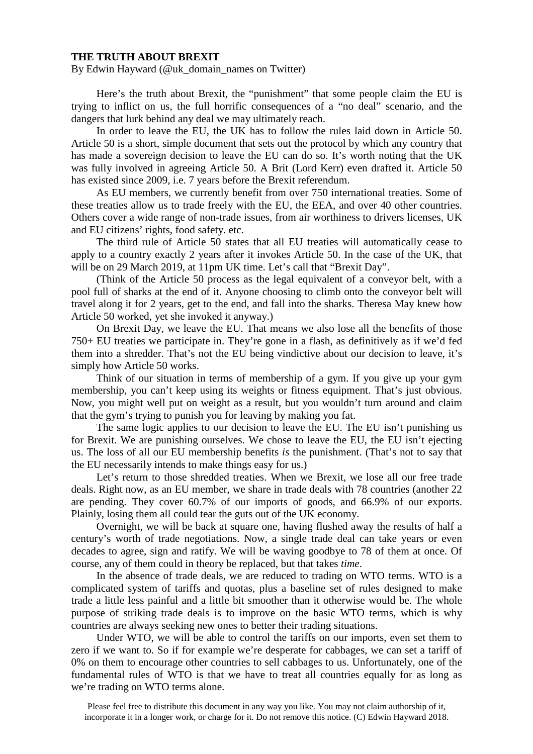## **THE TRUTH ABOUT BREXIT**

By Edwin Hayward (@uk\_domain\_names on Twitter)

Here's the truth about Brexit, the "punishment" that some people claim the EU is trying to inflict on us, the full horrific consequences of a "no deal" scenario, and the dangers that lurk behind any deal we may ultimately reach.

In order to leave the EU, the UK has to follow the rules laid down in Article 50. Article 50 is a short, simple document that sets out the protocol by which any country that has made a sovereign decision to leave the EU can do so. It's worth noting that the UK was fully involved in agreeing Article 50. A Brit (Lord Kerr) even drafted it. Article 50 has existed since 2009, i.e. 7 years before the Brexit referendum.

As EU members, we currently benefit from over 750 international treaties. Some of these treaties allow us to trade freely with the EU, the EEA, and over 40 other countries. Others cover a wide range of non-trade issues, from air worthiness to drivers licenses, UK and EU citizens' rights, food safety. etc.

The third rule of Article 50 states that all EU treaties will automatically cease to apply to a country exactly 2 years after it invokes Article 50. In the case of the UK, that will be on 29 March 2019, at 11pm UK time. Let's call that "Brexit Day".

(Think of the Article 50 process as the legal equivalent of a conveyor belt, with a pool full of sharks at the end of it. Anyone choosing to climb onto the conveyor belt will travel along it for 2 years, get to the end, and fall into the sharks. Theresa May knew how Article 50 worked, yet she invoked it anyway.)

On Brexit Day, we leave the EU. That means we also lose all the benefits of those 750+ EU treaties we participate in. They're gone in a flash, as definitively as if we'd fed them into a shredder. That's not the EU being vindictive about our decision to leave, it's simply how Article 50 works.

Think of our situation in terms of membership of a gym. If you give up your gym membership, you can't keep using its weights or fitness equipment. That's just obvious. Now, you might well put on weight as a result, but you wouldn't turn around and claim that the gym's trying to punish you for leaving by making you fat.

The same logic applies to our decision to leave the EU. The EU isn't punishing us for Brexit. We are punishing ourselves. We chose to leave the EU, the EU isn't ejecting us. The loss of all our EU membership benefits *is* the punishment. (That's not to say that the EU necessarily intends to make things easy for us.)

Let's return to those shredded treaties. When we Brexit, we lose all our free trade deals. Right now, as an EU member, we share in trade deals with 78 countries (another 22 are pending. They cover 60.7% of our imports of goods, and 66.9% of our exports. Plainly, losing them all could tear the guts out of the UK economy.

Overnight, we will be back at square one, having flushed away the results of half a century's worth of trade negotiations. Now, a single trade deal can take years or even decades to agree, sign and ratify. We will be waving goodbye to 78 of them at once. Of course, any of them could in theory be replaced, but that takes *time*.

In the absence of trade deals, we are reduced to trading on WTO terms. WTO is a complicated system of tariffs and quotas, plus a baseline set of rules designed to make trade a little less painful and a little bit smoother than it otherwise would be. The whole purpose of striking trade deals is to improve on the basic WTO terms, which is why countries are always seeking new ones to better their trading situations.

Under WTO, we will be able to control the tariffs on our imports, even set them to zero if we want to. So if for example we're desperate for cabbages, we can set a tariff of 0% on them to encourage other countries to sell cabbages to us. Unfortunately, one of the fundamental rules of WTO is that we have to treat all countries equally for as long as we're trading on WTO terms alone.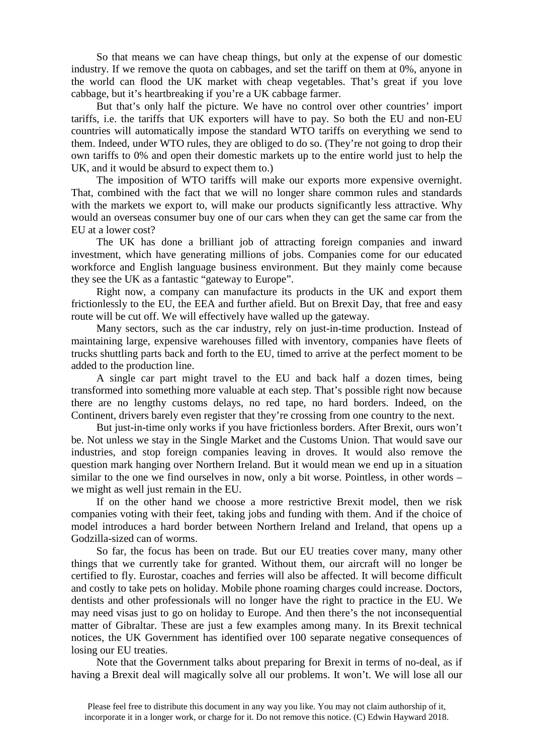So that means we can have cheap things, but only at the expense of our domestic industry. If we remove the quota on cabbages, and set the tariff on them at 0%, anyone in the world can flood the UK market with cheap vegetables. That's great if you love cabbage, but it's heartbreaking if you're a UK cabbage farmer.

But that's only half the picture. We have no control over other countries' import tariffs, i.e. the tariffs that UK exporters will have to pay. So both the EU and non-EU countries will automatically impose the standard WTO tariffs on everything we send to them. Indeed, under WTO rules, they are obliged to do so. (They're not going to drop their own tariffs to 0% and open their domestic markets up to the entire world just to help the UK, and it would be absurd to expect them to.)

The imposition of WTO tariffs will make our exports more expensive overnight. That, combined with the fact that we will no longer share common rules and standards with the markets we export to, will make our products significantly less attractive. Why would an overseas consumer buy one of our cars when they can get the same car from the EU at a lower cost?

The UK has done a brilliant job of attracting foreign companies and inward investment, which have generating millions of jobs. Companies come for our educated workforce and English language business environment. But they mainly come because they see the UK as a fantastic "gateway to Europe".

Right now, a company can manufacture its products in the UK and export them frictionlessly to the EU, the EEA and further afield. But on Brexit Day, that free and easy route will be cut off. We will effectively have walled up the gateway.

Many sectors, such as the car industry, rely on just-in-time production. Instead of maintaining large, expensive warehouses filled with inventory, companies have fleets of trucks shuttling parts back and forth to the EU, timed to arrive at the perfect moment to be added to the production line.

A single car part might travel to the EU and back half a dozen times, being transformed into something more valuable at each step. That's possible right now because there are no lengthy customs delays, no red tape, no hard borders. Indeed, on the Continent, drivers barely even register that they're crossing from one country to the next.

But just-in-time only works if you have frictionless borders. After Brexit, ours won't be. Not unless we stay in the Single Market and the Customs Union. That would save our industries, and stop foreign companies leaving in droves. It would also remove the question mark hanging over Northern Ireland. But it would mean we end up in a situation similar to the one we find ourselves in now, only a bit worse. Pointless, in other words – we might as well just remain in the EU.

If on the other hand we choose a more restrictive Brexit model, then we risk companies voting with their feet, taking jobs and funding with them. And if the choice of model introduces a hard border between Northern Ireland and Ireland, that opens up a Godzilla-sized can of worms.

So far, the focus has been on trade. But our EU treaties cover many, many other things that we currently take for granted. Without them, our aircraft will no longer be certified to fly. Eurostar, coaches and ferries will also be affected. It will become difficult and costly to take pets on holiday. Mobile phone roaming charges could increase. Doctors, dentists and other professionals will no longer have the right to practice in the EU. We may need visas just to go on holiday to Europe. And then there's the not inconsequential matter of Gibraltar. These are just a few examples among many. In its Brexit technical notices, the UK Government has identified over 100 separate negative consequences of losing our EU treaties.

Note that the Government talks about preparing for Brexit in terms of no-deal, as if having a Brexit deal will magically solve all our problems. It won't. We will lose all our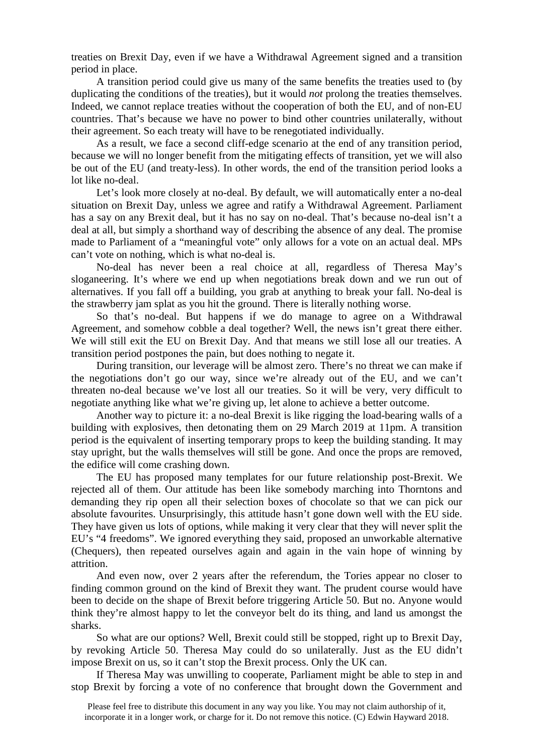treaties on Brexit Day, even if we have a Withdrawal Agreement signed and a transition period in place.

A transition period could give us many of the same benefits the treaties used to (by duplicating the conditions of the treaties), but it would *not* prolong the treaties themselves. Indeed, we cannot replace treaties without the cooperation of both the EU, and of non-EU countries. That's because we have no power to bind other countries unilaterally, without their agreement. So each treaty will have to be renegotiated individually.

As a result, we face a second cliff-edge scenario at the end of any transition period, because we will no longer benefit from the mitigating effects of transition, yet we will also be out of the EU (and treaty-less). In other words, the end of the transition period looks a lot like no-deal.

Let's look more closely at no-deal. By default, we will automatically enter a no-deal situation on Brexit Day, unless we agree and ratify a Withdrawal Agreement. Parliament has a say on any Brexit deal, but it has no say on no-deal. That's because no-deal isn't a deal at all, but simply a shorthand way of describing the absence of any deal. The promise made to Parliament of a "meaningful vote" only allows for a vote on an actual deal. MPs can't vote on nothing, which is what no-deal is.

No-deal has never been a real choice at all, regardless of Theresa May's sloganeering. It's where we end up when negotiations break down and we run out of alternatives. If you fall off a building, you grab at anything to break your fall. No-deal is the strawberry jam splat as you hit the ground. There is literally nothing worse.

So that's no-deal. But happens if we do manage to agree on a Withdrawal Agreement, and somehow cobble a deal together? Well, the news isn't great there either. We will still exit the EU on Brexit Day. And that means we still lose all our treaties. A transition period postpones the pain, but does nothing to negate it.

During transition, our leverage will be almost zero. There's no threat we can make if the negotiations don't go our way, since we're already out of the EU, and we can't threaten no-deal because we've lost all our treaties. So it will be very, very difficult to negotiate anything like what we're giving up, let alone to achieve a better outcome.

Another way to picture it: a no-deal Brexit is like rigging the load-bearing walls of a building with explosives, then detonating them on 29 March 2019 at 11pm. A transition period is the equivalent of inserting temporary props to keep the building standing. It may stay upright, but the walls themselves will still be gone. And once the props are removed, the edifice will come crashing down.

The EU has proposed many templates for our future relationship post-Brexit. We rejected all of them. Our attitude has been like somebody marching into Thorntons and demanding they rip open all their selection boxes of chocolate so that we can pick our absolute favourites. Unsurprisingly, this attitude hasn't gone down well with the EU side. They have given us lots of options, while making it very clear that they will never split the EU's "4 freedoms". We ignored everything they said, proposed an unworkable alternative (Chequers), then repeated ourselves again and again in the vain hope of winning by attrition.

And even now, over 2 years after the referendum, the Tories appear no closer to finding common ground on the kind of Brexit they want. The prudent course would have been to decide on the shape of Brexit before triggering Article 50. But no. Anyone would think they're almost happy to let the conveyor belt do its thing, and land us amongst the sharks.

So what are our options? Well, Brexit could still be stopped, right up to Brexit Day, by revoking Article 50. Theresa May could do so unilaterally. Just as the EU didn't impose Brexit on us, so it can't stop the Brexit process. Only the UK can.

If Theresa May was unwilling to cooperate, Parliament might be able to step in and stop Brexit by forcing a vote of no conference that brought down the Government and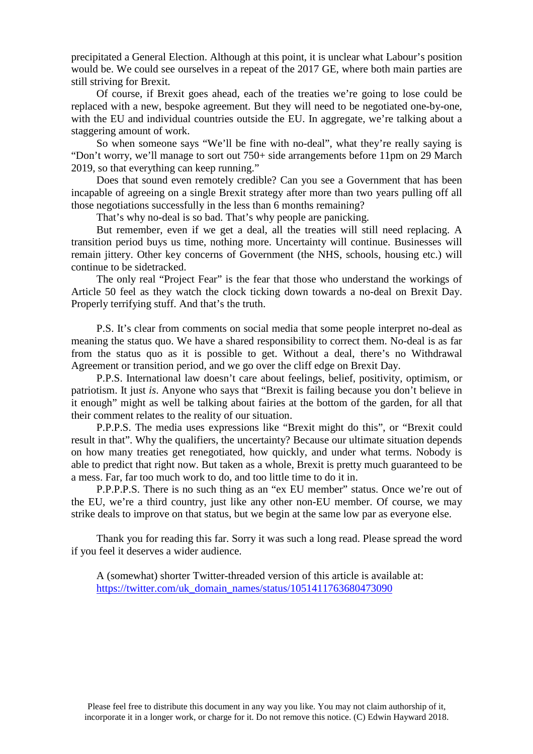precipitated a General Election. Although at this point, it is unclear what Labour's position would be. We could see ourselves in a repeat of the 2017 GE, where both main parties are still striving for Brexit.

Of course, if Brexit goes ahead, each of the treaties we're going to lose could be replaced with a new, bespoke agreement. But they will need to be negotiated one-by-one, with the EU and individual countries outside the EU. In aggregate, we're talking about a staggering amount of work.

So when someone says "We'll be fine with no-deal", what they're really saying is "Don't worry, we'll manage to sort out 750+ side arrangements before 11pm on 29 March 2019, so that everything can keep running."

Does that sound even remotely credible? Can you see a Government that has been incapable of agreeing on a single Brexit strategy after more than two years pulling off all those negotiations successfully in the less than 6 months remaining?

That's why no-deal is so bad. That's why people are panicking.

But remember, even if we get a deal, all the treaties will still need replacing. A transition period buys us time, nothing more. Uncertainty will continue. Businesses will remain jittery. Other key concerns of Government (the NHS, schools, housing etc.) will continue to be sidetracked.

The only real "Project Fear" is the fear that those who understand the workings of Article 50 feel as they watch the clock ticking down towards a no-deal on Brexit Day. Properly terrifying stuff. And that's the truth.

P.S. It's clear from comments on social media that some people interpret no-deal as meaning the status quo. We have a shared responsibility to correct them. No-deal is as far from the status quo as it is possible to get. Without a deal, there's no Withdrawal Agreement or transition period, and we go over the cliff edge on Brexit Day.

P.P.S. International law doesn't care about feelings, belief, positivity, optimism, or patriotism. It just *is*. Anyone who says that "Brexit is failing because you don't believe in it enough" might as well be talking about fairies at the bottom of the garden, for all that their comment relates to the reality of our situation.

P.P.P.S. The media uses expressions like "Brexit might do this", or "Brexit could result in that". Why the qualifiers, the uncertainty? Because our ultimate situation depends on how many treaties get renegotiated, how quickly, and under what terms. Nobody is able to predict that right now. But taken as a whole, Brexit is pretty much guaranteed to be a mess. Far, far too much work to do, and too little time to do it in.

P.P.P.P.S. There is no such thing as an "ex EU member" status. Once we're out of the EU, we're a third country, just like any other non-EU member. Of course, we may strike deals to improve on that status, but we begin at the same low par as everyone else.

Thank you for reading this far. Sorry it was such a long read. Please spread the word if you feel it deserves a wider audience.

A (somewhat) shorter Twitter-threaded version of this article is available at: https://twitter.com/uk\_domain\_names/status/1051411763680473090